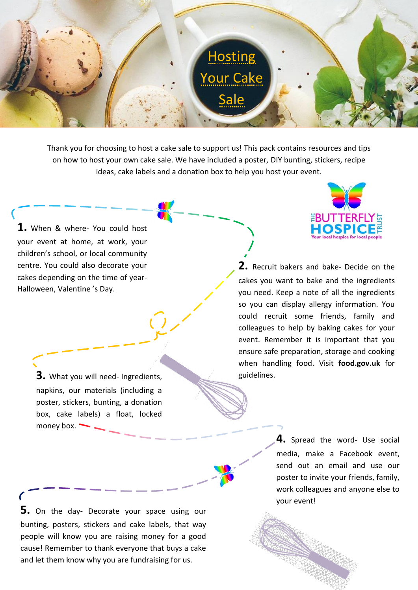

Thank you for choosing to host a cake sale to support us! This pack contains resources and tips on how to host your own cake sale. We have included a poster, DIY bunting, stickers, recipe ideas, cake labels and a donation box to help you host your event.

**1.** When & where- You could host your event at home, at work, your children's school, or local community centre. You could also decorate your cakes depending on the time of year-Halloween, Valentine 's Day.

> **3.** What you will need- Ingredients, napkins, our materials (including a poster, stickers, bunting, a donation box, cake labels) a float, locked money box.



**2.** Recruit bakers and bake- Decide on the cakes you want to bake and the ingredients you need. Keep a note of all the ingredients so you can display allergy information. You could recruit some friends, family and colleagues to help by baking cakes for your event. Remember it is important that you ensure safe preparation, storage and cooking when handling food. Visit **food.gov.uk** for guidelines.

> **4.** Spread the word- Use social media, make a Facebook event, send out an email and use our poster to invite your friends, family, work colleagues and anyone else to your event!

and let them know why you are fundraising for us. **5.** On the day- Decorate your space using our bunting, posters, stickers and cake labels, that way people will know you are raising money for a good cause! Remember to thank everyone that buys a cake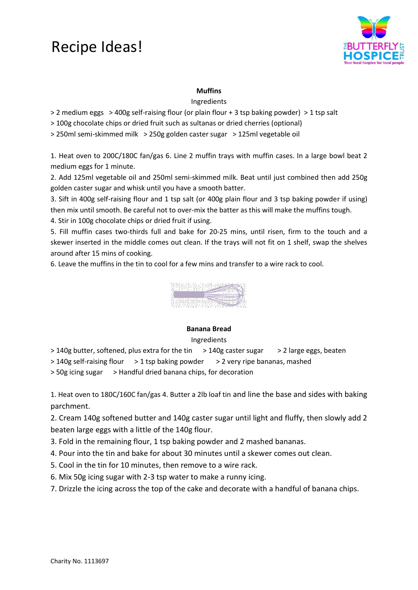## Recipe Ideas!



#### **Muffins**

Ingredients

> 2 medium eggs > 400g self-raising flour (or plain flour + 3 tsp baking powder) > 1 tsp salt

> 100g chocolate chips or dried fruit such as sultanas or dried cherries (optional)

> 250ml semi-skimmed milk > 250g golden caster sugar > 125ml vegetable oil

1. Heat oven to 200C/180C fan/gas 6. Line 2 muffin trays with muffin cases. In a large bowl beat 2 medium eggs for 1 minute.

2. Add 125ml vegetable oil and 250ml semi-skimmed milk. Beat until just combined then add 250g golden caster sugar and whisk until you have a smooth batter.

3. Sift in 400g self-raising flour and 1 tsp salt (or 400g plain flour and 3 tsp baking powder if using) then mix until smooth. Be careful not to over-mix the batter as this will make the muffins tough.

4. Stir in 100g chocolate chips or dried fruit if using.

5. Fill muffin cases two-thirds full and bake for 20-25 mins, until risen, firm to the touch and a skewer inserted in the middle comes out clean. If the trays will not fit on 1 shelf, swap the shelves around after 15 mins of cooking.

6. Leave the muffins in the tin to cool for a few mins and transfer to a wire rack to cool.



#### **Banana Bread**

#### Ingredients

> 140g butter, softened, plus extra for the tin > 140g caster sugar > 2 large eggs, beaten

> 140g self-raising flour > 1 tsp baking powder > 2 very ripe bananas, mashed

> 50g icing sugar > Handful dried banana chips, for decoration

1. Heat oven to 180C/160C fan/gas 4. Butter a 2lb loaf tin and line the base and sides with baking parchment.

2. Cream 140g softened butter and 140g caster sugar until light and fluffy, then slowly add 2 beaten large eggs with a little of the 140g flour.

3. Fold in the remaining flour, 1 tsp baking powder and 2 mashed bananas.

4. Pour into the tin and bake for about 30 minutes until a skewer comes out clean.

5. Cool in the tin for 10 minutes, then remove to a wire rack.

6. Mix 50g icing sugar with 2-3 tsp water to make a runny icing.

7. Drizzle the icing across the top of the cake and decorate with a handful of banana chips.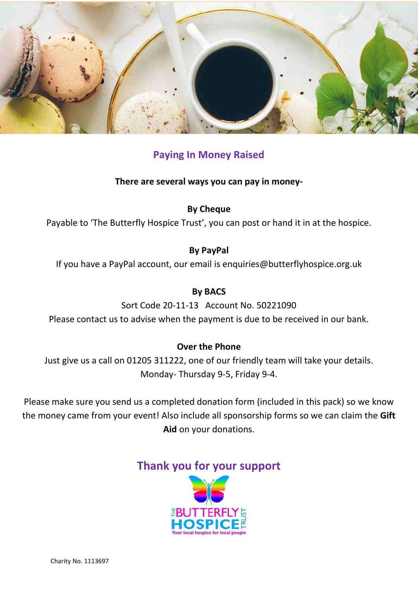

#### **Paying In Money Raised**

**There are several ways you can pay in money-**

**By Cheque**

Payable to 'The Butterfly Hospice Trust', you can post or hand it in at the hospice.

#### **By PayPal**

If you have a PayPal account, our email is enquiries@butterflyhospice.org.uk

#### **By BACS**

Sort Code 20-11-13 Account No. 50221090 Please contact us to advise when the payment is due to be received in our bank.

#### **Over the Phone**

Just give us a call on 01205 311222, one of our friendly team will take your details. Monday- Thursday 9-5, Friday 9-4.

Please make sure you send us a completed donation form (included in this pack) so we know the money came from your event! Also include all sponsorship forms so we can claim the **Gift Aid** on your donations.

### **Thank you for your support**

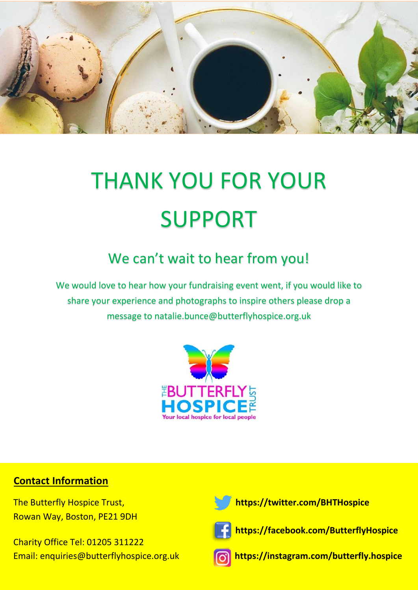

# THANK YOU FOR YOUR SUPPORT

## We can't wait to hear from you!

We would love to hear how your fundraising event went, if you would like to share your experience and photographs to inspire others please drop a message to natalie.bunce@butterflyhospice.org.uk



#### **Contact Information**

Rowan Way, Boston, PE21 9DH

Email: enquiries@butterflyhospice.org.uk Charity Office Tel: 01205 311222





 **https://facebook.com/ButterflyHospice**



**https://instagram.com/butterfly.hospice**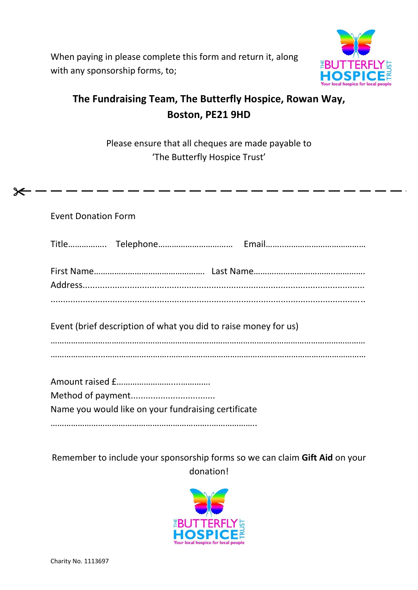When paying in please complete this form and return it, along with any sponsorship forms, to;



## **The Fundraising Team, The Butterfly Hospice, Rowan Way, Boston, PE21 9HD**

Please ensure that all cheques are made payable to 'The Butterfly Hospice Trust'

Event Donation Form

⊁

Event (brief description of what you did to raise money for us)

…………………………………….…………………………………………………………………………………… …………………...……………………….……………………………………………………………………………

| Name you would like on your fundraising certificate |
|-----------------------------------------------------|
|                                                     |

Remember to include your sponsorship forms so we can claim **Gift Aid** on your donation!

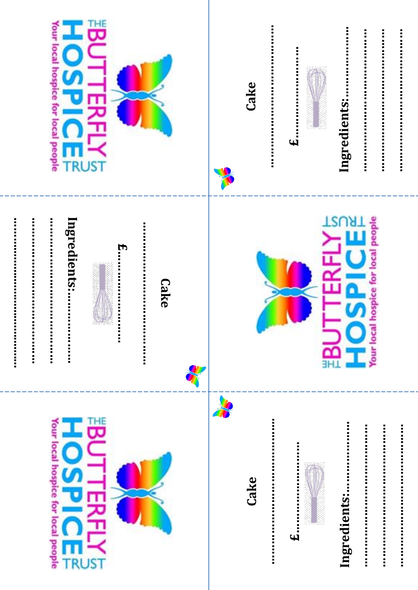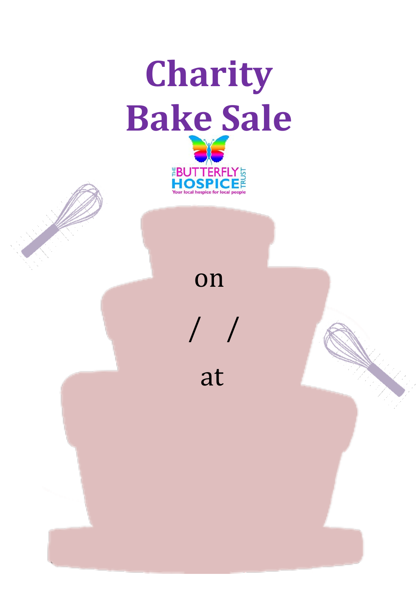

# on

/ /

at

Charity No. 1113697